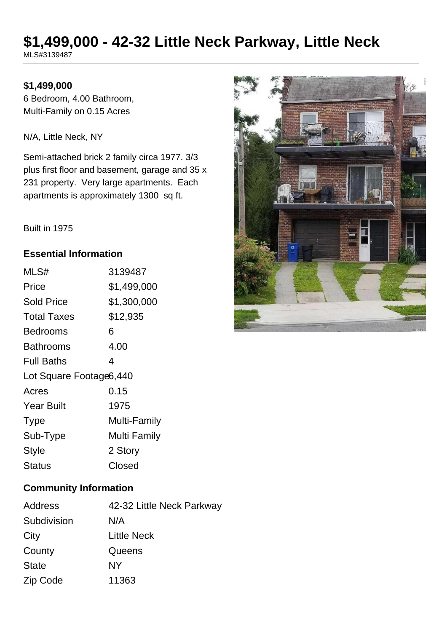# **\$1,499,000 - 42-32 Little Neck Parkway, Little Neck**

MLS#3139487

#### **\$1,499,000**

6 Bedroom, 4.00 Bathroom, Multi-Family on 0.15 Acres

N/A, Little Neck, NY

Semi-attached brick 2 family circa 1977. 3/3 plus first floor and basement, garage and 35 x 231 property. Very large apartments. Each apartments is approximately 1300 sq ft.



#### Built in 1975

#### **Essential Information**

| MLS#                    | 3139487      |  |
|-------------------------|--------------|--|
| Price                   | \$1,499,000  |  |
| <b>Sold Price</b>       | \$1,300,000  |  |
| <b>Total Taxes</b>      | \$12,935     |  |
| <b>Bedrooms</b>         | 6            |  |
| <b>Bathrooms</b>        | 4.00         |  |
| <b>Full Baths</b>       | 4            |  |
| Lot Square Footage6,440 |              |  |
| Acres                   | 0.15         |  |
| <b>Year Built</b>       | 1975         |  |
| <b>Type</b>             | Multi-Family |  |
| Sub-Type                | Multi Family |  |
| <b>Style</b>            | 2 Story      |  |
| Status                  | Closed       |  |

#### **Community Information**

| Address      | 42-32 Little Neck Parkway |
|--------------|---------------------------|
| Subdivision  | N/A                       |
| City         | <b>Little Neck</b>        |
| County       | Queens                    |
| <b>State</b> | NΥ                        |
| Zip Code     | 11363                     |